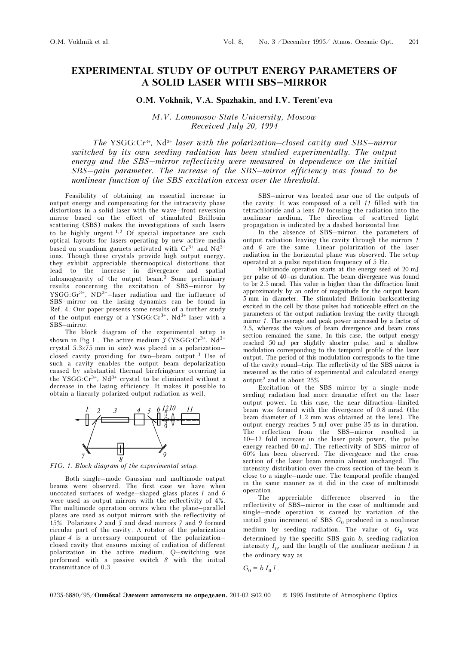## EXPERIMENTAL STUDY OF OUTPUT ENERGY PARAMETERS OF A SOLID LASER WITH SBS–MIRROR

## O.M. Vokhnik, V.A. Spazhakin, and I.V. Terent'eva

M.V. Lomonosov State University, Moscow Received July 20, 1994

The YSGG: $Cr^{3+}$ , Nd<sup>3+</sup> laser with the polarization–closed cavity and SBS–mirror switched by its own seeding radiation has been studied experimentally. The output energy and the SBS–mirror reflectivity were measured in dependence on the initial SBS–gain parameter. The increase of the SBS–mirror efficiency was found to be nonlinear function of the SBS excitation excess over the threshold.

Feasibility of obtaining an essential increase in output energy and compensating for the intracavity phase distortions in a solid laser with the wave–front reversion mirror based on the effect of stimulated Brillouin scattering (SBS) makes the investigations of such lasers to be highly urgent.<sup>1,2</sup> Of special importance are such optical layouts for lasers operating by new active media based on scandium garnets activated with  $Cr^{3+}$  and  $Nd^{3+}$ ions. Though these crystals provide high output energy, they exhibit appreciable thermooptical distortions that lead to the increase in divergence and spatial inhomogeneity of the output beam.3 Some preliminary results concerning the excitation of SBS–mirror by  $YSGG:Gr<sup>3+</sup>, ND<sup>3+</sup>$ -laser radiation and the influence of SBS–mirror on the lasing dynamics can be found in Ref. 4. Our paper presents some results of a further study of the output energy of a YSGG: $Cr^{3+}$ , Nd<sup>3+</sup> laser with a SBS–mirror.

The block diagram of the experimental setup is shown in Fig 1. The active medium  $3 (YSGG: Cr<sup>3+</sup>, Nd<sup>3+</sup>)$ crystal 5.3×75 mm in size) was placed in a polarization– closed cavity providing for two–beam output.3 Use of such a cavity enables the output beam depolarization caused by substantial thermal birefringence occurring in the YSGG: $Cr^{3+}$ , Nd<sup>3+</sup> crystal to be eliminated without a decrease in the lasing efficiency. It makes it possible to obtain a linearly polarized output radiation as well.



FIG. 1. Block diagram of the experimental setup.

Both single–mode Gaussian and multimode output beams were observed. The first case we have when uncoated surfaces of wedge–shaped glass plates 1 and 6 were used as output mirrors with the reflectivity of 4%. The multimode operation occurs when the plane–parallel plates are used as output mirrors with the reflectivity of 15%. Polarizers 2 and 5 and dead mirrors 7 and 9 formed circular part of the cavity. A rotator of the polarization plane 4 is a necessary component of the polarization– closed cavity that ensures mixing of radiation of different polarization in the active medium. Q–switching was performed with a passive switch 8 with the initial transmittance of 0.3.

SBS–mirror was located near one of the outputs of the cavity. It was composed of a cell 11 filled with tin tetrachloride and a lens 10 focusing the radiation into the nonlinear medium. The direction of scattered light propagation is indicated by a dashed horizontal line.

In the absence of SBS–mirror, the parameters of output radiation leaving the cavity through the mirrors 1 and 6 are the same. Linear polarization of the laser radiation in the horizontal plane was observed. The setup operated at a pulse repetition frequency of 5 Hz.

Multimode operation starts at the energy seed of 20 mJ per pulse of 40–ns duration. The beam divergence was found to be 2.5 mrad. This value is higher than the diffraction limit approximately by an order of magnitude for the output beam 5 mm in diameter. The stimulated Brillouin backscattering excited in the cell by those pulses had noticeable effect on the parameters of the output radiation leaving the cavity through mirror 1. The average and peak power increased by a factor of 2.5, whereas the values of beam divergence and beam cross section remained the same. In this case, the output energy reached 50 mJ per slightly shorter pulse, and a shallow modulation corresponding to the temporal profile of the laser output. The period of this modulation corresponds to the time of the cavity round–trip. The reflectivity of the SBS mirror is measured as the ratio of experimental and calculated energy output2 and is about 25%.

Excitation of the SBS mirror by a single–mode seeding radiation had more dramatic effect on the laser output power. In this case, the near difraction–limited beam was formed with the divergence of 0.8 mrad (the beam diameter of 1.2 mm was obtained at the lens). The output energy reaches 5 mJ over pulse 35 ns in duration. The reflection from the SBS–mirror resulted in 10–12 fold increase in the laser peak power, the pulse energy reached 60 mJ. The reflectivity of SBS–mirror of 60% has been observed. The divergence and the cross section of the laser beam remain almost unchanged. The intensity distribution over the cross section of the beam is close to a single–mode one. The temporal profile changed in the same manner as it did in the case of multimode operation.

The appreciable difference observed in the reflectivity of SBS–mirror in the case of multimode and single–mode operation is caused by variation of the initial gain increment of SBS  $G_0$  produced in a nonlinear medium by seeding radiation. The value of  $G_0$  was determined by the specific SBS gain b, seeding radiation intensity  $I_0$ , and the length of the nonlinear medium l in the ordinary way as

$$
G_0 = b I_0 l.
$$

## 0235-6880/95/ $O$ шибка! Элемент автотекста не определен. 201-02 \$02.00 © 1995 Institute of Atmospheric Optics